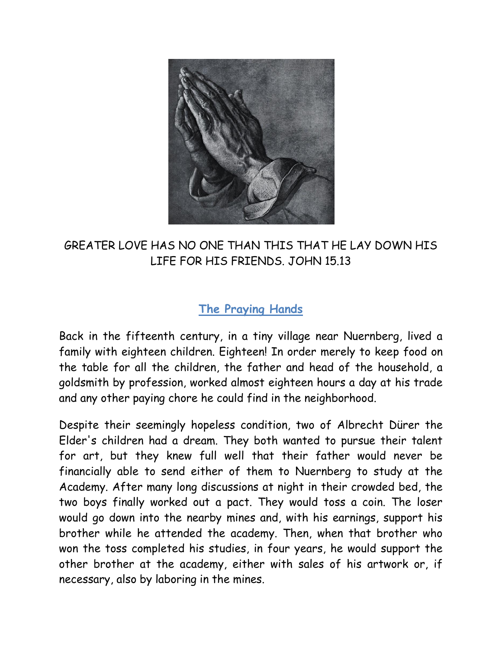

## GREATER LOVE HAS NO ONE THAN THIS THAT HE LAY DOWN HIS LIFE FOR HIS FRIENDS. JOHN 15.13

## **The Praying Hands**

Back in the fifteenth century, in a tiny village near Nuernberg, lived a family with eighteen children. Eighteen! In order merely to keep food on the table for all the children, the father and head of the household, a goldsmith by profession, worked almost eighteen hours a day at his trade and any other paying chore he could find in the neighborhood.

Despite their seemingly hopeless condition, two of Albrecht Dürer the Elder's children had a dream. They both wanted to pursue their talent for art, but they knew full well that their father would never be financially able to send either of them to Nuernberg to study at the Academy. After many long discussions at night in their crowded bed, the two boys finally worked out a pact. They would toss a coin. The loser would go down into the nearby mines and, with his earnings, support his brother while he attended the academy. Then, when that brother who won the toss completed his studies, in four years, he would support the other brother at the academy, either with sales of his artwork or, if necessary, also by laboring in the mines.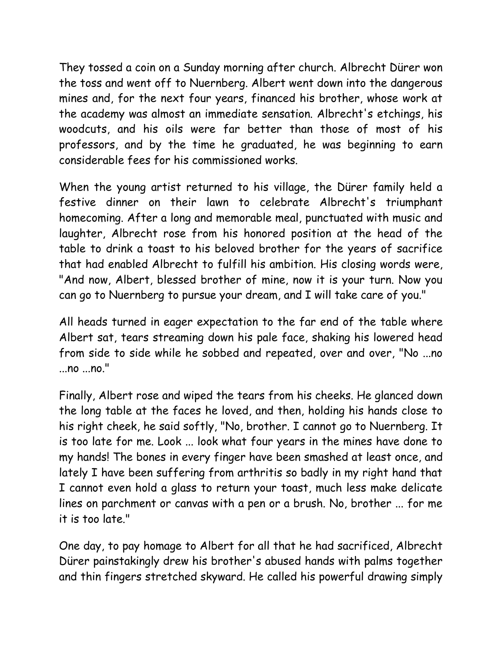They tossed a coin on a Sunday morning after church. Albrecht Dürer won the toss and went off to Nuernberg. Albert went down into the dangerous mines and, for the next four years, financed his brother, whose work at the academy was almost an immediate sensation. Albrecht's etchings, his woodcuts, and his oils were far better than those of most of his professors, and by the time he graduated, he was beginning to earn considerable fees for his commissioned works.

When the young artist returned to his village, the Dürer family held a festive dinner on their lawn to celebrate Albrecht's triumphant homecoming. After a long and memorable meal, punctuated with music and laughter, Albrecht rose from his honored position at the head of the table to drink a toast to his beloved brother for the years of sacrifice that had enabled Albrecht to fulfill his ambition. His closing words were, "And now, Albert, blessed brother of mine, now it is your turn. Now you can go to Nuernberg to pursue your dream, and I will take care of you."

All heads turned in eager expectation to the far end of the table where Albert sat, tears streaming down his pale face, shaking his lowered head from side to side while he sobbed and repeated, over and over, "No ...no ...no ...no."

Finally, Albert rose and wiped the tears from his cheeks. He glanced down the long table at the faces he loved, and then, holding his hands close to his right cheek, he said softly, "No, brother. I cannot go to Nuernberg. It is too late for me. Look ... look what four years in the mines have done to my hands! The bones in every finger have been smashed at least once, and lately I have been suffering from arthritis so badly in my right hand that I cannot even hold a glass to return your toast, much less make delicate lines on parchment or canvas with a pen or a brush. No, brother ... for me it is too late."

One day, to pay homage to Albert for all that he had sacrificed, Albrecht Dürer painstakingly drew his brother's abused hands with palms together and thin fingers stretched skyward. He called his powerful drawing simply